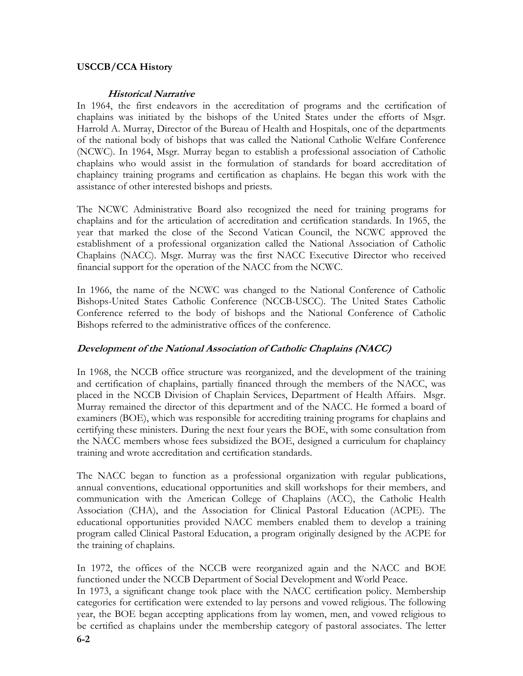# USCCB/CCA History

#### Historical Narrative

In 1964, the first endeavors in the accreditation of programs and the certification of chaplains was initiated by the bishops of the United States under the efforts of Msgr. Harrold A. Murray, Director of the Bureau of Health and Hospitals, one of the departments of the national body of bishops that was called the National Catholic Welfare Conference (NCWC). In 1964, Msgr. Murray began to establish a professional association of Catholic chaplains who would assist in the formulation of standards for board accreditation of chaplaincy training programs and certification as chaplains. He began this work with the assistance of other interested bishops and priests.

The NCWC Administrative Board also recognized the need for training programs for chaplains and for the articulation of accreditation and certification standards. In 1965, the year that marked the close of the Second Vatican Council, the NCWC approved the establishment of a professional organization called the National Association of Catholic Chaplains (NACC). Msgr. Murray was the first NACC Executive Director who received financial support for the operation of the NACC from the NCWC.

In 1966, the name of the NCWC was changed to the National Conference of Catholic Bishops-United States Catholic Conference (NCCB-USCC). The United States Catholic Conference referred to the body of bishops and the National Conference of Catholic Bishops referred to the administrative offices of the conference.

## Development of the National Association of Catholic Chaplains (NACC)

In 1968, the NCCB office structure was reorganized, and the development of the training and certification of chaplains, partially financed through the members of the NACC, was placed in the NCCB Division of Chaplain Services, Department of Health Affairs. Msgr. Murray remained the director of this department and of the NACC. He formed a board of examiners (BOE), which was responsible for accrediting training programs for chaplains and certifying these ministers. During the next four years the BOE, with some consultation from the NACC members whose fees subsidized the BOE, designed a curriculum for chaplaincy training and wrote accreditation and certification standards.

The NACC began to function as a professional organization with regular publications, annual conventions, educational opportunities and skill workshops for their members, and communication with the American College of Chaplains (ACC), the Catholic Health Association (CHA), and the Association for Clinical Pastoral Education (ACPE). The educational opportunities provided NACC members enabled them to develop a training program called Clinical Pastoral Education, a program originally designed by the ACPE for the training of chaplains.

In 1972, the offices of the NCCB were reorganized again and the NACC and BOE functioned under the NCCB Department of Social Development and World Peace.

In 1973, a significant change took place with the NACC certification policy. Membership categories for certification were extended to lay persons and vowed religious. The following year, the BOE began accepting applications from lay women, men, and vowed religious to be certified as chaplains under the membership category of pastoral associates. The letter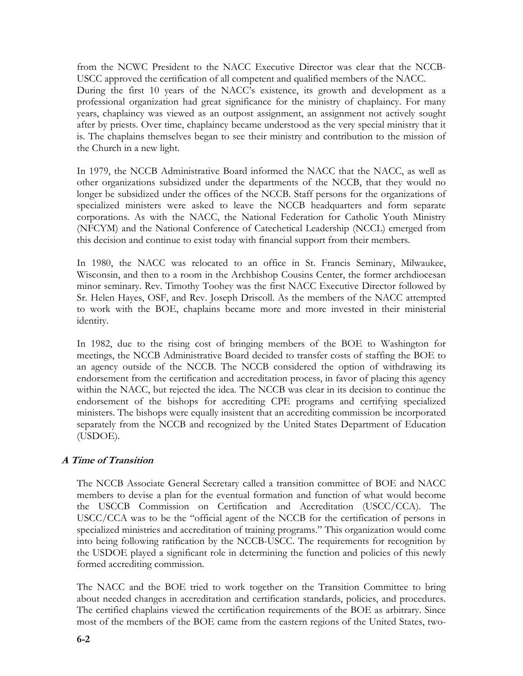from the NCWC President to the NACC Executive Director was clear that the NCCB-USCC approved the certification of all competent and qualified members of the NACC. During the first 10 years of the NACC's existence, its growth and development as a professional organization had great significance for the ministry of chaplaincy. For many years, chaplaincy was viewed as an outpost assignment, an assignment not actively sought after by priests. Over time, chaplaincy became understood as the very special ministry that it is. The chaplains themselves began to see their ministry and contribution to the mission of the Church in a new light.

In 1979, the NCCB Administrative Board informed the NACC that the NACC, as well as other organizations subsidized under the departments of the NCCB, that they would no longer be subsidized under the offices of the NCCB. Staff persons for the organizations of specialized ministers were asked to leave the NCCB headquarters and form separate corporations. As with the NACC, the National Federation for Catholic Youth Ministry (NFCYM) and the National Conference of Catechetical Leadership (NCCL) emerged from this decision and continue to exist today with financial support from their members.

In 1980, the NACC was relocated to an office in St. Francis Seminary, Milwaukee, Wisconsin, and then to a room in the Archbishop Cousins Center, the former archdiocesan minor seminary. Rev. Timothy Toohey was the first NACC Executive Director followed by Sr. Helen Hayes, OSF, and Rev. Joseph Driscoll. As the members of the NACC attempted to work with the BOE, chaplains became more and more invested in their ministerial identity.

In 1982, due to the rising cost of bringing members of the BOE to Washington for meetings, the NCCB Administrative Board decided to transfer costs of staffing the BOE to an agency outside of the NCCB. The NCCB considered the option of withdrawing its endorsement from the certification and accreditation process, in favor of placing this agency within the NACC, but rejected the idea. The NCCB was clear in its decision to continue the endorsement of the bishops for accrediting CPE programs and certifying specialized ministers. The bishops were equally insistent that an accrediting commission be incorporated separately from the NCCB and recognized by the United States Department of Education (USDOE).

# A Time of Transition

The NCCB Associate General Secretary called a transition committee of BOE and NACC members to devise a plan for the eventual formation and function of what would become the USCCB Commission on Certification and Accreditation (USCC/CCA). The USCC/CCA was to be the "official agent of the NCCB for the certification of persons in specialized ministries and accreditation of training programs." This organization would come into being following ratification by the NCCB-USCC. The requirements for recognition by the USDOE played a significant role in determining the function and policies of this newly formed accrediting commission.

The NACC and the BOE tried to work together on the Transition Committee to bring about needed changes in accreditation and certification standards, policies, and procedures. The certified chaplains viewed the certification requirements of the BOE as arbitrary. Since most of the members of the BOE came from the eastern regions of the United States, two-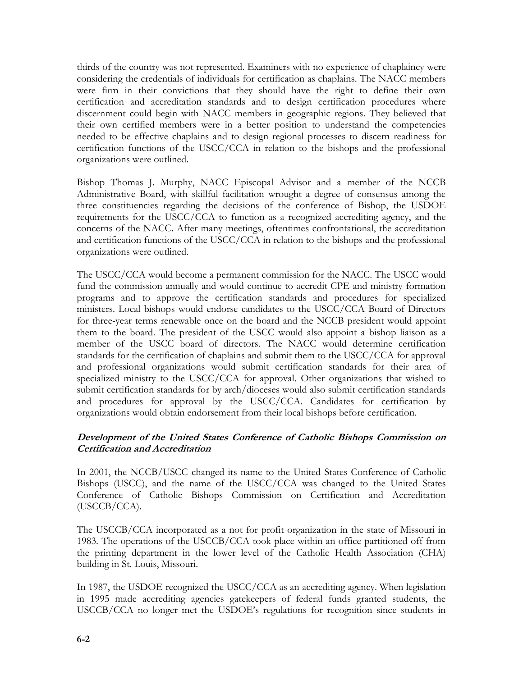thirds of the country was not represented. Examiners with no experience of chaplaincy were considering the credentials of individuals for certification as chaplains. The NACC members were firm in their convictions that they should have the right to define their own certification and accreditation standards and to design certification procedures where discernment could begin with NACC members in geographic regions. They believed that their own certified members were in a better position to understand the competencies needed to be effective chaplains and to design regional processes to discern readiness for certification functions of the USCC/CCA in relation to the bishops and the professional organizations were outlined.

Bishop Thomas J. Murphy, NACC Episcopal Advisor and a member of the NCCB Administrative Board, with skillful facilitation wrought a degree of consensus among the three constituencies regarding the decisions of the conference of Bishop, the USDOE requirements for the USCC/CCA to function as a recognized accrediting agency, and the concerns of the NACC. After many meetings, oftentimes confrontational, the accreditation and certification functions of the USCC/CCA in relation to the bishops and the professional organizations were outlined.

The USCC/CCA would become a permanent commission for the NACC. The USCC would fund the commission annually and would continue to accredit CPE and ministry formation programs and to approve the certification standards and procedures for specialized ministers. Local bishops would endorse candidates to the USCC/CCA Board of Directors for three-year terms renewable once on the board and the NCCB president would appoint them to the board. The president of the USCC would also appoint a bishop liaison as a member of the USCC board of directors. The NACC would determine certification standards for the certification of chaplains and submit them to the USCC/CCA for approval and professional organizations would submit certification standards for their area of specialized ministry to the USCC/CCA for approval. Other organizations that wished to submit certification standards for by arch/dioceses would also submit certification standards and procedures for approval by the USCC/CCA. Candidates for certification by organizations would obtain endorsement from their local bishops before certification.

# Development of the United States Conference of Catholic Bishops Commission on Certification and Accreditation

In 2001, the NCCB/USCC changed its name to the United States Conference of Catholic Bishops (USCC), and the name of the USCC/CCA was changed to the United States Conference of Catholic Bishops Commission on Certification and Accreditation (USCCB/CCA).

The USCCB/CCA incorporated as a not for profit organization in the state of Missouri in 1983. The operations of the USCCB/CCA took place within an office partitioned off from the printing department in the lower level of the Catholic Health Association (CHA) building in St. Louis, Missouri.

In 1987, the USDOE recognized the USCC/CCA as an accrediting agency. When legislation in 1995 made accrediting agencies gatekeepers of federal funds granted students, the USCCB/CCA no longer met the USDOE's regulations for recognition since students in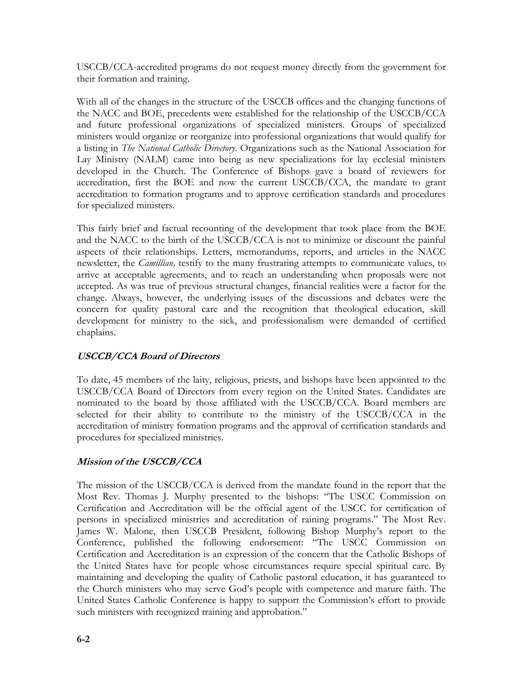USCCB/CCA-accredited programs do not request money directly from the government for their formation and training.

With all of the changes in the structure of the USCCB offices and the changing functions of the NACC and BOE, precedents were established for the relationship of the USCCB/CCA and future professional organizations of specialized ministers. Groups of specialized ministers would organize or reorganize into professional organizations that would qualify for a listing in The National Catholic Directory. Organizations such as the National Association for Lay Ministry (NALM) came into being as new specializations for lay ecclesial ministers developed in the Church. The Conference of Bishops gave a board of reviewers for accreditation, first the BOE and now the current USCCB/CCA, the mandate to grant accreditation to formation programs and to approve certification standards and procedures for specialized ministers.

This fairly brief and factual recounting of the development that took place from the BOE and the NACC to the birth of the USCCB/CCA is not to minimize or discount the painful aspects of their relationships. Letters, memorandums, reports, and articles in the NACC newsletter, the *Camillian*, testify to the many frustrating attempts to communicate values, to arrive at acceptable agreements, and to reach an understanding when proposals were not accepted. As was true of previous structural changes, financial realities were a factor for the change. Always, however, the underlying issues of the discussions and debates were the concern for quality pastoral care and the recognition that theological education, skill development for ministry to the sick, and professionalism were demanded of certified chaplains.

# USCCB/CCA Board of Directors

To date, 45 members of the laity, religious, priests, and bishops have been appointed to the USCCB/CCA Board of Directors from every region on the United States. Candidates are nominated to the board by those affiliated with the USCCB/CCA. Board members are selected for their ability to contribute to the ministry of the USCCB/CCA in the accreditation of ministry formation programs and the approval of certification standards and procedures for specialized ministries.

# Mission of the USCCB/CCA

The mission of the USCCB/CCA is derived from the mandate found in the report that the Most Rev. Thomas J. Murphy presented to the bishops: "The USCC Commission on Certification and Accreditation will be the official agent of the USCC for certification of persons in specialized ministries and accreditation of raining programs." The Most Rev. James W. Malone, then USCCB President, following Bishop Murphy's report to the Conference, published the following endorsement: "The USCC Commission on Certification and Accreditation is an expression of the concern that the Catholic Bishops of the United States have for people whose circumstances require special spiritual care. By maintaining and developing the quality of Catholic pastoral education, it has guaranteed to the Church ministers who may serve God's people with competence and mature faith. The United States Catholic Conference is happy to support the Commission's effort to provide such ministers with recognized training and approbation."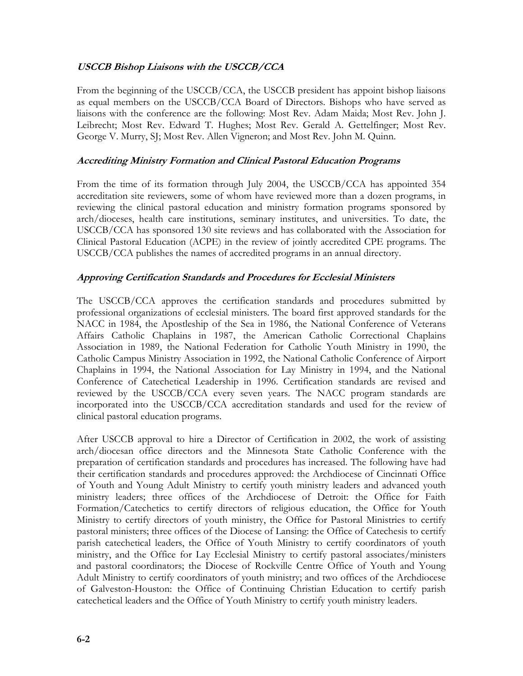# USCCB Bishop Liaisons with the USCCB/CCA

From the beginning of the USCCB/CCA, the USCCB president has appoint bishop liaisons as equal members on the USCCB/CCA Board of Directors. Bishops who have served as liaisons with the conference are the following: Most Rev. Adam Maida; Most Rev. John J. Leibrecht; Most Rev. Edward T. Hughes; Most Rev. Gerald A. Gettelfinger; Most Rev. George V. Murry, SJ; Most Rev. Allen Vigneron; and Most Rev. John M. Quinn.

#### Accrediting Ministry Formation and Clinical Pastoral Education Programs

From the time of its formation through July 2004, the USCCB/CCA has appointed 354 accreditation site reviewers, some of whom have reviewed more than a dozen programs, in reviewing the clinical pastoral education and ministry formation programs sponsored by arch/dioceses, health care institutions, seminary institutes, and universities. To date, the USCCB/CCA has sponsored 130 site reviews and has collaborated with the Association for Clinical Pastoral Education (ACPE) in the review of jointly accredited CPE programs. The USCCB/CCA publishes the names of accredited programs in an annual directory.

#### Approving Certification Standards and Procedures for Ecclesial Ministers

The USCCB/CCA approves the certification standards and procedures submitted by professional organizations of ecclesial ministers. The board first approved standards for the NACC in 1984, the Apostleship of the Sea in 1986, the National Conference of Veterans Affairs Catholic Chaplains in 1987, the American Catholic Correctional Chaplains Association in 1989, the National Federation for Catholic Youth Ministry in 1990, the Catholic Campus Ministry Association in 1992, the National Catholic Conference of Airport Chaplains in 1994, the National Association for Lay Ministry in 1994, and the National Conference of Catechetical Leadership in 1996. Certification standards are revised and reviewed by the USCCB/CCA every seven years. The NACC program standards are incorporated into the USCCB/CCA accreditation standards and used for the review of clinical pastoral education programs.

After USCCB approval to hire a Director of Certification in 2002, the work of assisting arch/diocesan office directors and the Minnesota State Catholic Conference with the preparation of certification standards and procedures has increased. The following have had their certification standards and procedures approved: the Archdiocese of Cincinnati Office of Youth and Young Adult Ministry to certify youth ministry leaders and advanced youth ministry leaders; three offices of the Archdiocese of Detroit: the Office for Faith Formation/Catechetics to certify directors of religious education, the Office for Youth Ministry to certify directors of youth ministry, the Office for Pastoral Ministries to certify pastoral ministers; three offices of the Diocese of Lansing: the Office of Catechesis to certify parish catechetical leaders, the Office of Youth Ministry to certify coordinators of youth ministry, and the Office for Lay Ecclesial Ministry to certify pastoral associates/ministers and pastoral coordinators; the Diocese of Rockville Centre Office of Youth and Young Adult Ministry to certify coordinators of youth ministry; and two offices of the Archdiocese of Galveston-Houston: the Office of Continuing Christian Education to certify parish catechetical leaders and the Office of Youth Ministry to certify youth ministry leaders.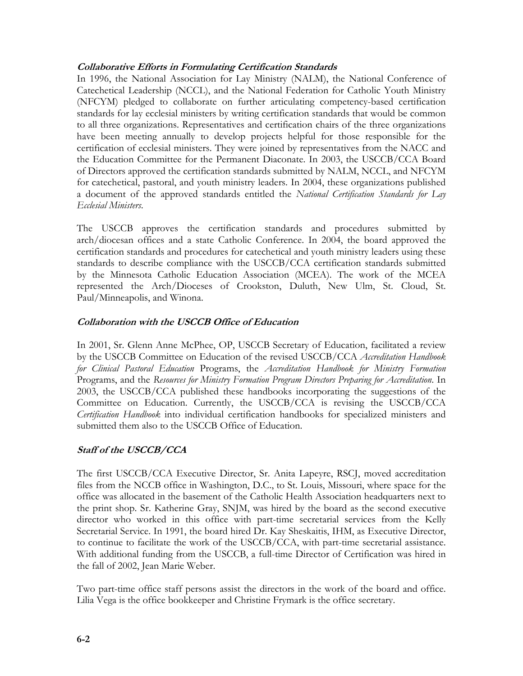## Collaborative Efforts in Formulating Certification Standards

In 1996, the National Association for Lay Ministry (NALM), the National Conference of Catechetical Leadership (NCCL), and the National Federation for Catholic Youth Ministry (NFCYM) pledged to collaborate on further articulating competency-based certification standards for lay ecclesial ministers by writing certification standards that would be common to all three organizations. Representatives and certification chairs of the three organizations have been meeting annually to develop projects helpful for those responsible for the certification of ecclesial ministers. They were joined by representatives from the NACC and the Education Committee for the Permanent Diaconate. In 2003, the USCCB/CCA Board of Directors approved the certification standards submitted by NALM, NCCL, and NFCYM for catechetical, pastoral, and youth ministry leaders. In 2004, these organizations published a document of the approved standards entitled the National Certification Standards for Lay Ecclesial Ministers.

The USCCB approves the certification standards and procedures submitted by arch/diocesan offices and a state Catholic Conference. In 2004, the board approved the certification standards and procedures for catechetical and youth ministry leaders using these standards to describe compliance with the USCCB/CCA certification standards submitted by the Minnesota Catholic Education Association (MCEA). The work of the MCEA represented the Arch/Dioceses of Crookston, Duluth, New Ulm, St. Cloud, St. Paul/Minneapolis, and Winona.

## Collaboration with the USCCB Office of Education

In 2001, Sr. Glenn Anne McPhee, OP, USCCB Secretary of Education, facilitated a review by the USCCB Committee on Education of the revised USCCB/CCA Accreditation Handbook for Clinical Pastoral Education Programs, the Accreditation Handbook for Ministry Formation Programs, and the Resources for Ministry Formation Program Directors Preparing for Accreditation. In 2003, the USCCB/CCA published these handbooks incorporating the suggestions of the Committee on Education. Currently, the USCCB/CCA is revising the USCCB/CCA Certification Handbook into individual certification handbooks for specialized ministers and submitted them also to the USCCB Office of Education.

## Staff of the USCCB/CCA

The first USCCB/CCA Executive Director, Sr. Anita Lapeyre, RSCJ, moved accreditation files from the NCCB office in Washington, D.C., to St. Louis, Missouri, where space for the office was allocated in the basement of the Catholic Health Association headquarters next to the print shop. Sr. Katherine Gray, SNJM, was hired by the board as the second executive director who worked in this office with part-time secretarial services from the Kelly Secretarial Service. In 1991, the board hired Dr. Kay Sheskaitis, IHM, as Executive Director, to continue to facilitate the work of the USCCB/CCA, with part-time secretarial assistance. With additional funding from the USCCB, a full-time Director of Certification was hired in the fall of 2002, Jean Marie Weber.

Two part-time office staff persons assist the directors in the work of the board and office. Lilia Vega is the office bookkeeper and Christine Frymark is the office secretary.